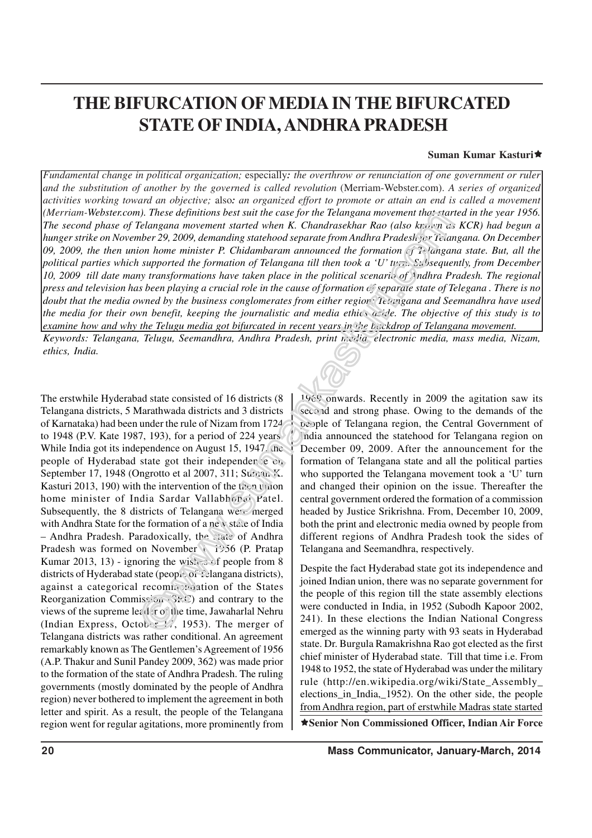# **THE BIFURCATION OF MEDIA IN THE BIFURCATED STATE OF INDIA, ANDHRA PRADESH**

#### **Suman Kumar Kasturi**Í

*Fundamental change in political organization;* especially*: the overthrow or renunciation of one government or ruler and the substitution of another by the governed is called revolution* (Merriam-Webster.com). *A series of organized activities working toward an objective;* also*: an organized effort to promote or attain an end is called a movement (Merriam-Webster.com). These definitions best suit the case for the Telangana movement that started in the year 1956. The second phase of Telangana movement started when K. Chandrasekhar Rao (also known as KCR) had begun a hunger strike on November 29, 2009, demanding statehood separate from Andhra Pradesh for Telangana. On December 09, 2009, the then union home minister P. Chidambaram announced the formation of Telangana state. But, all the political parties which supported the formation of Telangana till then took a 'U' turn. Subsequently, from December 10, 2009 till date many transformations have taken place in the political scenario of Andhra Pradesh. The regional press and television has been playing a crucial role in the cause of formation of separate state of Telegana . There is no doubt that the media owned by the business conglomerates from either region: Telangana and Seemandhra have used the media for their own benefit, keeping the journalistic and media ethics aside. The objective of this study is to examine how and why the Telugu media got bifurcated in recent years in the backdrop of Telangana movement. Keywords: Telangana, Telugu, Seemandhra, Andhra Pradesh, print media, electronic media, mass media, Nizam, ethics, India.*

The erstwhile Hyderabad state consisted of 16 districts (8 Telangana districts, 5 Marathwada districts and 3 districts of Karnataka) had been under the rule of Nizam from 1724 to 1948 (P.V. Kate 1987, 193), for a period of 224 years. While India got its independence on August 15, 1947, the people of Hyderabad state got their independence  $c_1$ . September 17, 1948 (Ongrotto et al 2007, 311; Suman K. Kasturi 2013, 190) with the intervention of the then union home minister of India Sardar Vallabhonai Patel. Subsequently, the 8 districts of Telangana were merged with Andhra State for the formation of a new state of India – Andhra Pradesh. Paradoxically, the state of Andhra Pradesh was formed on November 1, 1956 (P. Pratap Kumar 2013, 13) - ignoring the wishes of people from 8 districts of Hyderabad state (people of Telangana districts), against a categorical recommendation of the States Reorganization Commission ( $S_{\mathcal{R}}(S)$  and contrary to the views of the supreme lead it of the time, Jawaharlal Nehru (Indian Express, October 17, 1953). The merger of Telangana districts was rather conditional. An agreement remarkably known as The Gentlemen's Agreement of 1956 (A.P. Thakur and Sunil Pandey 2009, 362) was made prior to the formation of the state of Andhra Pradesh. The ruling governments (mostly dominated by the people of Andhra region) never bothered to implement the agreement in both letter and spirit. As a result, the people of the Telangana region went for regular agitations, more prominently from

1969 onwards. Recently in 2009 the agitation saw its second and strong phase. Owing to the demands of the people of Telangana region, the Central Government of India announced the statehood for Telangana region on December 09, 2009. After the announcement for the formation of Telangana state and all the political parties who supported the Telangana movement took a 'U' turn and changed their opinion on the issue. Thereafter the central government ordered the formation of a commission headed by Justice Srikrishna. From, December 10, 2009, both the print and electronic media owned by people from different regions of Andhra Pradesh took the sides of Telangana and Seemandhra, respectively.

Í**Senior Non Commissioned Officer, Indian Air Force** Despite the fact Hyderabad state got its independence and joined Indian union, there was no separate government for the people of this region till the state assembly elections were conducted in India, in 1952 (Subodh Kapoor 2002, 241). In these elections the Indian National Congress emerged as the winning party with 93 seats in Hyderabad state. Dr. Burgula Ramakrishna Rao got elected as the first chief minister of Hyderabad state. Till that time i.e. From 1948 to 1952, the state of Hyderabad was under the military rule (http://en.wikipedia.org/wiki/State\_Assembly\_ elections\_in\_India,\_1952). On the other side, the people from Andhra region, part of erstwhile Madras state started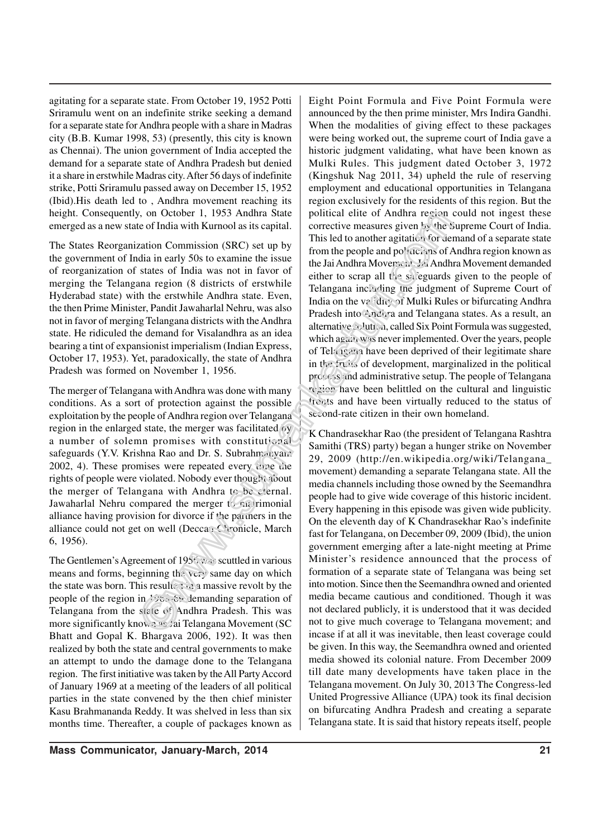agitating for a separate state. From October 19, 1952 Potti Sriramulu went on an indefinite strike seeking a demand for a separate state for Andhra people with a share in Madras city (B.B. Kumar 1998, 53) (presently, this city is known as Chennai). The union government of India accepted the demand for a separate state of Andhra Pradesh but denied it a share in erstwhile Madras city. After 56 days of indefinite strike, Potti Sriramulu passed away on December 15, 1952 (Ibid).His death led to , Andhra movement reaching its height. Consequently, on October 1, 1953 Andhra State emerged as a new state of India with Kurnool as its capital.

The States Reorganization Commission (SRC) set up by the government of India in early 50s to examine the issue of reorganization of states of India was not in favor of merging the Telangana region (8 districts of erstwhile Hyderabad state) with the erstwhile Andhra state. Even, the then Prime Minister, Pandit Jawaharlal Nehru, was also not in favor of merging Telangana districts with the Andhra state. He ridiculed the demand for Visalandhra as an idea bearing a tint of expansionist imperialism (Indian Express, October 17, 1953). Yet, paradoxically, the state of Andhra Pradesh was formed on November 1, 1956.

The merger of Telangana with Andhra was done with many conditions. As a sort of protection against the possible exploitation by the people of Andhra region over Telangana region in the enlarged state, the merger was facilitated by a number of solemn promises with constitutional safeguards (Y.V. Krishna Rao and Dr. S. Subrahmanyam 2002, 4). These promises were repeated every time the rights of people were violated. Nobody ever thought about the merger of Telangana with Andhra to be eternal. Jawaharlal Nehru compared the merger to  $\epsilon_{\text{H}}$  rimonial alliance having provision for divorce if the partners in the alliance could not get on well (Deccan Chronicle, March 6, 1956).

The Gentlemen's Agreement of 1955 was scuttled in various means and forms, beginning the very same day on which the state was born. This results in a massive revolt by the people of the region in 1968-69 demanding separation of Telangana from the state of Andhra Pradesh. This was more significantly known as Jai Telangana Movement (SC Bhatt and Gopal K. Bhargava 2006, 192). It was then realized by both the state and central governments to make an attempt to undo the damage done to the Telangana region. The first initiative was taken by the All Party Accord of January 1969 at a meeting of the leaders of all political parties in the state convened by the then chief minister Kasu Brahmananda Reddy. It was shelved in less than six months time. Thereafter, a couple of packages known as Eight Point Formula and Five Point Formula were announced by the then prime minister, Mrs Indira Gandhi. When the modalities of giving effect to these packages were being worked out, the supreme court of India gave a historic judgment validating, what have been known as Mulki Rules. This judgment dated October 3, 1972 (Kingshuk Nag 2011, 34) upheld the rule of reserving employment and educational opportunities in Telangana region exclusively for the residents of this region. But the political elite of Andhra region could not ingest these corrective measures given by the Supreme Court of India. This led to another agitation for demand of a separate state from the people and politicians of Andhra region known as the Jai Andhra Movement. Jai Andhra Movement demanded either to scrap all the safeguards given to the people of Telangana including the judgment of Supreme Court of India on the validity of Mulki Rules or bifurcating Andhra Pradesh into Andhra and Telangana states. As a result, an alternative solution, called Six Point Formula was suggested, which again was never implemented. Over the years, people of Telangana have been deprived of their legitimate share in the fruits of development, marginalized in the political process and administrative setup. The people of Telangana region have been belittled on the cultural and linguistic fronts and have been virtually reduced to the status of second-rate citizen in their own homeland.

K Chandrasekhar Rao (the president of Telangana Rashtra Samithi (TRS) party) began a hunger strike on November 29, 2009 (http://en.wikipedia.org/wiki/Telangana\_ movement) demanding a separate Telangana state. All the media channels including those owned by the Seemandhra people had to give wide coverage of this historic incident. Every happening in this episode was given wide publicity. On the eleventh day of K Chandrasekhar Rao's indefinite fast for Telangana, on December 09, 2009 (Ibid), the union government emerging after a late-night meeting at Prime Minister's residence announced that the process of formation of a separate state of Telangana was being set into motion. Since then the Seemandhra owned and oriented media became cautious and conditioned. Though it was not declared publicly, it is understood that it was decided not to give much coverage to Telangana movement; and incase if at all it was inevitable, then least coverage could be given. In this way, the Seemandhra owned and oriented media showed its colonial nature. From December 2009 till date many developments have taken place in the Telangana movement. On July 30, 2013 The Congress-led United Progressive Alliance (UPA) took its final decision on bifurcating Andhra Pradesh and creating a separate Telangana state. It is said that history repeats itself, people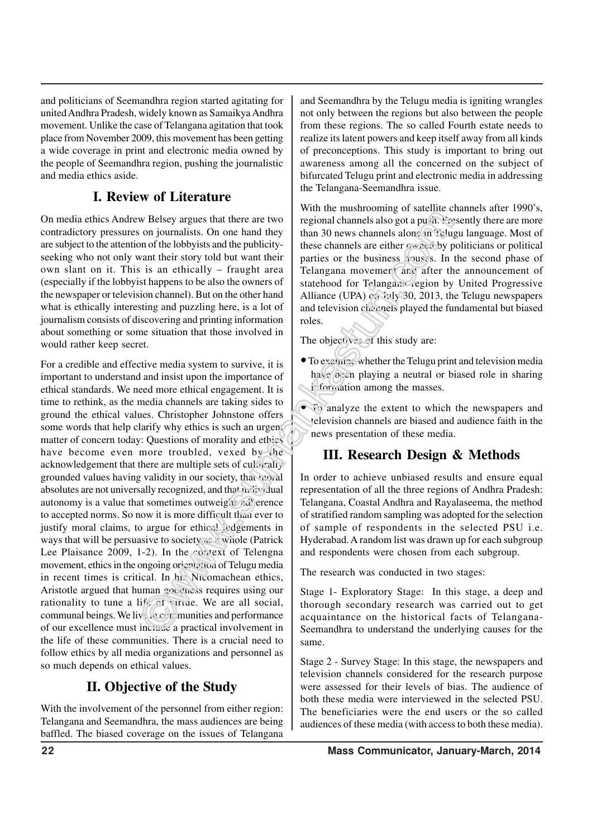and politicians of Seemandhra region started agitating for united Andhra Pradesh, widely known as Samaikya Andhra movement. Unlike the case of Telangana agitation that took place from November 2009, this movement has been getting a wide coverage in print and electronic media owned by the people of Seemandhra region, pushing the journalistic and media ethics aside.

### **I. Review of Literature**

On media ethics Andrew Belsey argues that there are two contradictory pressures on journalists. On one hand they are subject to the attention of the lobbyists and the publicityseeking who not only want their story told but want their own slant on it. This is an ethically – fraught area (especially if the lobbyist happens to be also the owners of the newspaper or television channel). But on the other hand what is ethically interesting and puzzling here, is a lot of journalism consists of discovering and printing information about something or some situation that those involved in would rather keep secret.

For a credible and effective media system to survive, it is important to understand and insist upon the importance of ethical standards. We need more ethical engagement. It is time to rethink, as the media channels are taking sides to ground the ethical values. Christopher Johnstone offers some words that help clarify why ethics is such an urgent matter of concern today: Questions of morality and ethics have become even more troubled, vexed by the acknowledgement that there are multiple sets of culturally grounded values having validity in our society, that moral absolutes are not universally recognized, and that individual autonomy is a value that sometimes outweighs  $2\mathbf{d}$  erence to accepted norms. So now it is more difficult than ever to justify moral claims, to argue for ethical judgements in ways that will be persuasive to society  $\infty$  whole (Patrick Lee Plaisance 2009, 1-2). In the context of Telengna movement, ethics in the ongoing orientation of Telugu media in recent times is critical. In h<sub>1</sub>: Nicomachean ethics, Aristotle argued that human goodness requires using our rationality to tune a life of virtue. We are all social, communal beings. We live in communities and performance of our excellence must include a practical involvement in the life of these communities. There is a crucial need to follow ethics by all media organizations and personnel as so much depends on ethical values.

### **II. Objective of the Study**

With the involvement of the personnel from either region: Telangana and Seemandhra, the mass audiences are being baffled. The biased coverage on the issues of Telangana and Seemandhra by the Telugu media is igniting wrangles not only between the regions but also between the people from these regions. The so called Fourth estate needs to realize its latent powers and keep itself away from all kinds of preconceptions. This study is important to bring out awareness among all the concerned on the subject of bifurcated Telugu print and electronic media in addressing the Telangana-Seemandhra issue.

With the mushrooming of satellite channels after 1990's, regional channels also got a push. Presently there are more than 30 news channels alone in Telugu language. Most of these channels are either  $\sigma$ <sup>-2</sup> and by politicians or political parties or the business houses. In the second phase of Telangana movemert and after the announcement of statehood for Telangana region by United Progressive Alliance (UPA) on July 30, 2013, the Telugu newspapers and television channels played the fundamental but biased roles.

The objectives of this study are:

- To examine whether the Telugu print and television media have  $\omega$ : in playing a neutral or biased role in sharing information among the masses.
- To analyze the extent to which the newspapers and television channels are biased and audience faith in the news presentation of these media.

### **III. Research Design & Methods**

In order to achieve unbiased results and ensure equal representation of all the three regions of Andhra Pradesh: Telangana, Coastal Andhra and Rayalaseema, the method of stratified random sampling was adopted for the selection of sample of respondents in the selected PSU i.e. Hyderabad. A random list was drawn up for each subgroup and respondents were chosen from each subgroup.

The research was conducted in two stages:

Stage 1- Exploratory Stage: In this stage, a deep and thorough secondary research was carried out to get acquaintance on the historical facts of Telangana-Seemandhra to understand the underlying causes for the same.

Stage 2 - Survey Stage: In this stage, the newspapers and television channels considered for the research purpose were assessed for their levels of bias. The audience of both these media were interviewed in the selected PSU. The beneficiaries were the end users or the so called audiences of these media (with access to both these media).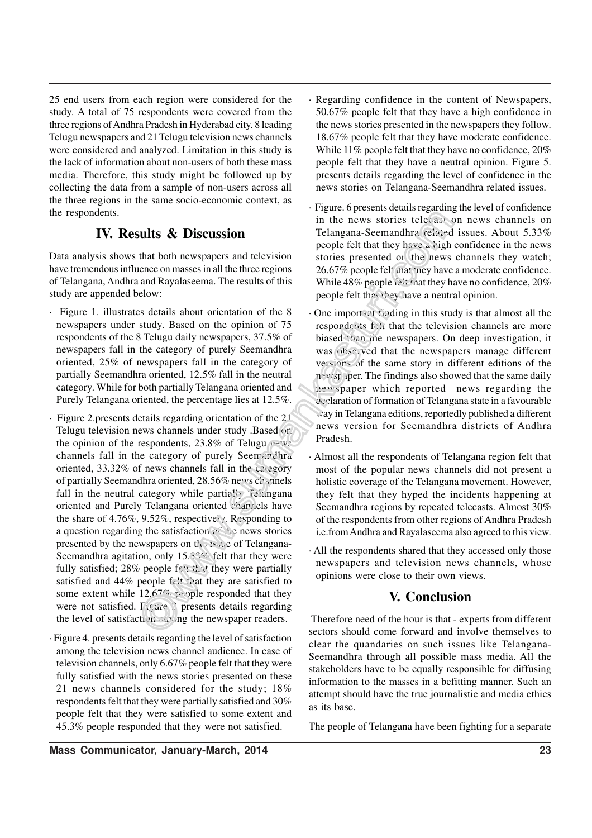25 end users from each region were considered for the study. A total of 75 respondents were covered from the three regions of Andhra Pradesh in Hyderabad city. 8 leading Telugu newspapers and 21 Telugu television news channels were considered and analyzed. Limitation in this study is the lack of information about non-users of both these mass media. Therefore, this study might be followed up by collecting the data from a sample of non-users across all the three regions in the same socio-economic context, as the respondents.

#### **IV. Results & Discussion**

Data analysis shows that both newspapers and television have tremendous influence on masses in all the three regions of Telangana, Andhra and Rayalaseema. The results of this study are appended below:

- · Figure 1. illustrates details about orientation of the 8 newspapers under study. Based on the opinion of 75 respondents of the 8 Telugu daily newspapers, 37.5% of newspapers fall in the category of purely Seemandhra oriented, 25% of newspapers fall in the category of partially Seemandhra oriented, 12.5% fall in the neutral category. While for both partially Telangana oriented and Purely Telangana oriented, the percentage lies at 12.5%.
- Figure 2.presents details regarding orientation of the 21 Telugu television news channels under study .Based on the opinion of the respondents,  $23.8\%$  of Telugu news channels fall in the category of purely Seemandhra oriented, 33.32% of news channels fall in the category of partially Seemandhra oriented, 28.56% news channels fall in the neutral category while partially Telangana oriented and Purely Telangana oriented channels have the share of 4.76%, 9.52%, respectively. Responding to a question regarding the satisfaction of the news stories presented by the newspapers on  $t_1$ . issue of Telangana-Seemandhra agitation, only 15.33% felt that they were fully satisfied; 28% people felt that they were partially satisfied and 44% people felt that they are satisfied to some extent while  $12.67\%$  people responded that they were not satisfied.  $F$ igure 3 presents details regarding the level of satisfaction among the newspaper readers.
- Figure 4. presents details regarding the level of satisfaction among the television news channel audience. In case of television channels, only 6.67% people felt that they were fully satisfied with the news stories presented on these 21 news channels considered for the study; 18% respondents felt that they were partially satisfied and 30% people felt that they were satisfied to some extent and 45.3% people responded that they were not satisfied.
- Regarding confidence in the content of Newspapers, 50.67% people felt that they have a high confidence in the news stories presented in the newspapers they follow. 18.67% people felt that they have moderate confidence. While 11% people felt that they have no confidence, 20% people felt that they have a neutral opinion. Figure 5. presents details regarding the level of confidence in the news stories on Telangana-Seemandhra related issues.
- Figure. 6 presents details regarding the level of confidence in the news stories telecast on news channels on Telangana-Seemandhra related issues. About 5.33% people felt that they have a high confidence in the news stories presented on the news channels they watch; 26.67% people felt that they have a moderate confidence. While  $48\%$  people felt that they have no confidence,  $20\%$ people felt that they have a neutral opinion.
- One important finding in this study is that almost all the respondents felt that the television channels are more biased than the newspapers. On deep investigation, it was observed that the newspapers manage different versions of the same story in different editions of the newspaper. The findings also showed that the same daily newspaper which reported news regarding the declaration of formation of Telangana state in a favourable way in Telangana editions, reportedly published a different news version for Seemandhra districts of Andhra Pradesh.
- Almost all the respondents of Telangana region felt that most of the popular news channels did not present a holistic coverage of the Telangana movement. However, they felt that they hyped the incidents happening at Seemandhra regions by repeated telecasts. Almost 30% of the respondents from other regions of Andhra Pradesh i.e.from Andhra and Rayalaseema also agreed to this view.
- · All the respondents shared that they accessed only those newspapers and television news channels, whose opinions were close to their own views.

### **V. Conclusion**

 Therefore need of the hour is that - experts from different sectors should come forward and involve themselves to clear the quandaries on such issues like Telangana-Seemandhra through all possible mass media. All the stakeholders have to be equally responsible for diffusing information to the masses in a befitting manner. Such an attempt should have the true journalistic and media ethics as its base.

The people of Telangana have been fighting for a separate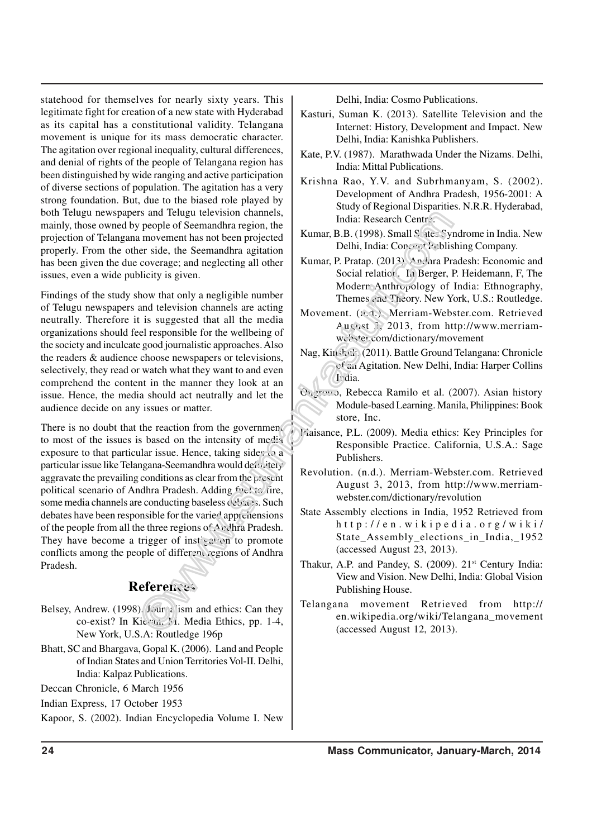statehood for themselves for nearly sixty years. This legitimate fight for creation of a new state with Hyderabad as its capital has a constitutional validity. Telangana movement is unique for its mass democratic character. The agitation over regional inequality, cultural differences, and denial of rights of the people of Telangana region has been distinguished by wide ranging and active participation of diverse sections of population. The agitation has a very strong foundation. But, due to the biased role played by both Telugu newspapers and Telugu television channels, mainly, those owned by people of Seemandhra region, the projection of Telangana movement has not been projected properly. From the other side, the Seemandhra agitation has been given the due coverage; and neglecting all other issues, even a wide publicity is given.

Findings of the study show that only a negligible number of Telugu newspapers and television channels are acting neutrally. Therefore it is suggested that all the media organizations should feel responsible for the wellbeing of the society and inculcate good journalistic approaches. Also the readers & audience choose newspapers or televisions, selectively, they read or watch what they want to and even comprehend the content in the manner they look at an issue. Hence, the media should act neutrally and let the audience decide on any issues or matter.

There is no doubt that the reaction from the government to most of the issues is based on the intensity of media exposure to that particular issue. Hence, taking sides to a particular issue like Telangana-Seemandhra would definitely aggravate the prevailing conditions as clear from the present political scenario of Andhra Pradesh. Adding fuel to fire, some media channels are conducting baseless debates. Such debates have been responsible for the varied apprehensions of the people from all the three regions of Andhra Pradesh. They have become a trigger of instigation to promote conflicts among the people of different regions of Andhra Pradesh.

### **References**

- Belsey, Andrew. (1998). Journalism and ethics: Can they co-exist? In Kieran, M. Media Ethics, pp. 1-4, New York, U.S.A: Routledge 196p
- Bhatt, SC and Bhargava, Gopal K. (2006). Land and People of Indian States and Union Territories Vol-II. Delhi, India: Kalpaz Publications.

Deccan Chronicle, 6 March 1956

Indian Express, 17 October 1953

Kapoor, S. (2002). Indian Encyclopedia Volume I. New

Delhi, India: Cosmo Publications.

- Kasturi, Suman K. (2013). Satellite Television and the Internet: History, Development and Impact. New Delhi, India: Kanishka Publishers.
- Kate, P.V. (1987). Marathwada Under the Nizams. Delhi, India: Mittal Publications.
- Krishna Rao, Y.V. and Subrhmanyam, S. (2002). Development of Andhra Pradesh, 1956-2001: A Study of Regional Disparities. N.R.R. Hyderabad, India: Research Centre.
- Kumar, B.B. (1998). Small States Syndrome in India. New Delhi, India: Concept Publishing Company.
- Kumar, P. Pratap. (2013). Andhra Pradesh: Economic and Social relation. In Berger, P. Heidemann, F, The Modern Anthropology of India: Ethnography, Themes and Theory. New York, U.S.: Routledge.
- Movement. (n.d.). Merriam-Webster.com. Retrieved August 3, 2013, from http://www.merriamwebster.com/dictionary/movement
- Nag, Kinshuk. (2011). Battle Ground Telangana: Chronicle of an Agitation. New Delhi, India: Harper Collins  $I$  dia.
- Ongrotto, Rebecca Ramilo et al. (2007). Asian history Module-based Learning. Manila, Philippines: Book store, Inc.
- Plaisance, P.L. (2009). Media ethics: Key Principles for Responsible Practice. California, U.S.A.: Sage Publishers.
- Revolution. (n.d.). Merriam-Webster.com. Retrieved August 3, 2013, from http://www.merriamwebster.com/dictionary/revolution
- State Assembly elections in India, 1952 Retrieved from  $h$ ttp://en.wikipedia.org/wiki/ State\_Assembly\_elections\_in\_India,\_1952 (accessed August 23, 2013).
- Thakur, A.P. and Pandey, S.  $(2009)$ .  $21<sup>st</sup>$  Century India: View and Vision. New Delhi, India: Global Vision Publishing House.
- Telangana movement Retrieved from http:// en.wikipedia.org/wiki/Telangana\_movement (accessed August 12, 2013).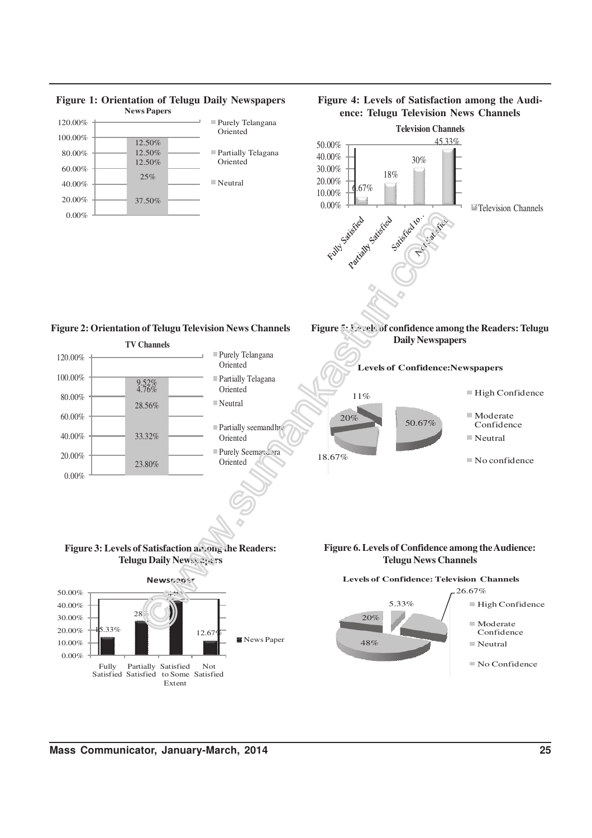

**Figure 4: Levels of Satisfaction among the Audi-**

## **Figure 1: Orientation of Telugu Daily Newspapers**

**Mass Communicator, January-March, 2014 25**